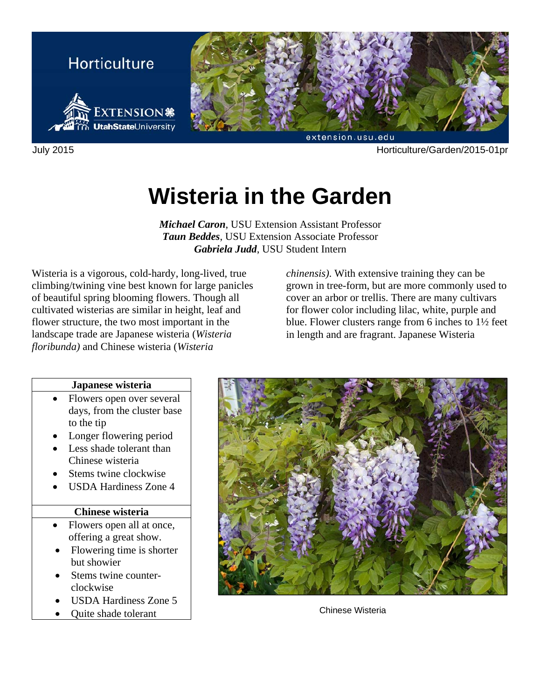

July 2015 Horticulture/Garden/2015-01pr

# **Wisteria in the Garden**

*Michael Caron*, USU Extension Assistant Professor *Taun Beddes*, USU Extension Associate Professor *Gabriela Judd*, USU Student Intern

Wisteria is a vigorous, cold-hardy, long-lived, true climbing/twining vine best known for large panicles of beautiful spring blooming flowers. Though all cultivated wisterias are similar in height, leaf and flower structure, the two most important in the landscape trade are Japanese wisteria (*Wisteria floribunda)* and Chinese wisteria (*Wisteria* 

*chinensis)*. With extensive training they can be grown in tree-form, but are more commonly used to cover an arbor or trellis. There are many cultivars for flower color including lilac, white, purple and blue. Flower clusters range from 6 inches to 1½ feet in length and are fragrant. Japanese Wisteria

#### **Japanese wisteria**

- Flowers open over several days, from the cluster base to the tip
- Longer flowering period
- Less shade tolerant than Chinese wisteria
- Stems twine clockwise
- USDA Hardiness Zone 4

#### **Chinese wisteria**

- Flowers open all at once, offering a great show.
- Flowering time is shorter but showier
- Stems twine counterclockwise
- **USDA Hardiness Zone 5**
- Quite shade tolerant  $\overline{\phantom{a}}$  Chinese Wisteria

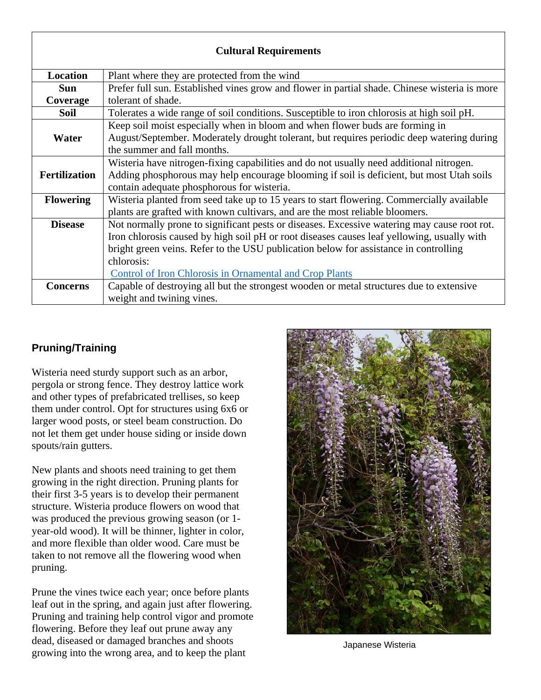| <b>Cultural Requirements</b> |                                                                                               |
|------------------------------|-----------------------------------------------------------------------------------------------|
| Location                     | Plant where they are protected from the wind                                                  |
| <b>Sun</b>                   | Prefer full sun. Established vines grow and flower in partial shade. Chinese wisteria is more |
| Coverage                     | tolerant of shade.                                                                            |
| Soil                         | Tolerates a wide range of soil conditions. Susceptible to iron chlorosis at high soil pH.     |
|                              | Keep soil moist especially when in bloom and when flower buds are forming in                  |
| Water                        | August/September. Moderately drought tolerant, but requires periodic deep watering during     |
|                              | the summer and fall months.                                                                   |
|                              | Wisteria have nitrogen-fixing capabilities and do not usually need additional nitrogen.       |
| <b>Fertilization</b>         | Adding phosphorous may help encourage blooming if soil is deficient, but most Utah soils      |
|                              | contain adequate phosphorous for wisteria.                                                    |
| <b>Flowering</b>             | Wisteria planted from seed take up to 15 years to start flowering. Commercially available     |
|                              | plants are grafted with known cultivars, and are the most reliable bloomers.                  |
| <b>Disease</b>               | Not normally prone to significant pests or diseases. Excessive watering may cause root rot.   |
|                              | Iron chlorosis caused by high soil pH or root diseases causes leaf yellowing, usually with    |
|                              | bright green veins. Refer to the USU publication below for assistance in controlling          |
|                              | chlorosis:                                                                                    |
|                              | <b>Control of Iron Chlorosis in Ornamental and Crop Plants</b>                                |
| <b>Concerns</b>              | Capable of destroying all but the strongest wooden or metal structures due to extensive       |
|                              | weight and twining vines.                                                                     |

## **Pruning/Training**

Wisteria need sturdy support such as an arbor, pergola or strong fence. They destroy lattice work and other types of prefabricated trellises, so keep them under control. Opt for structures using 6x6 or larger wood posts, or steel beam construction. Do not let them get under house siding or inside down spouts/rain gutters.

New plants and shoots need training to get them growing in the right direction. Pruning plants for their first 3-5 years is to develop their permanent structure. Wisteria produce flowers on wood that was produced the previous growing season (or 1 year-old wood). It will be thinner, lighter in color, and more flexible than older wood. Care must be taken to not remove all the flowering wood when pruning.

Prune the vines twice each year; once before plants leaf out in the spring, and again just after flowering. Pruning and training help control vigor and promote flowering. Before they leaf out prune away any dead, diseased or damaged branches and shoots growing into the wrong area, and to keep the plant



Japanese Wisteria